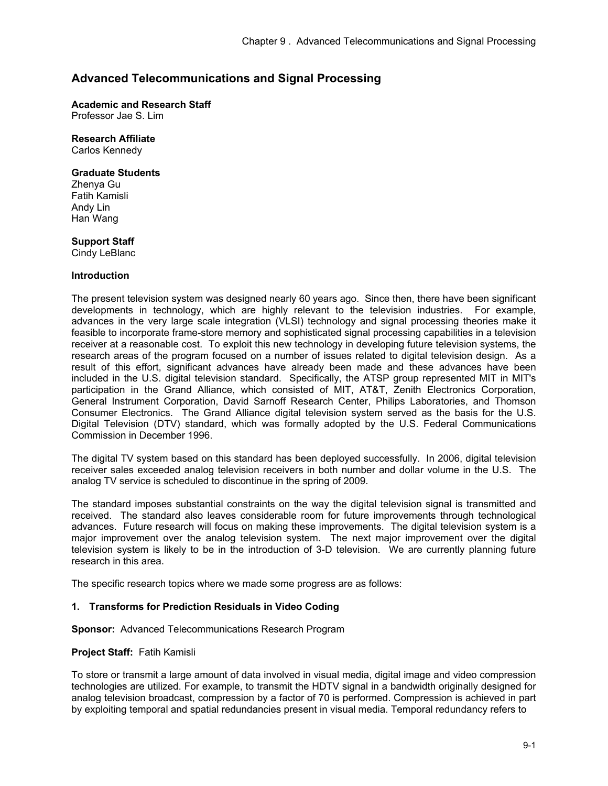# **Advanced Telecommunications and Signal Processing**

**Academic and Research Staff**  Professor Jae S. Lim

## **Research Affiliate**

Carlos Kennedy

## **Graduate Students**

Zhenya Gu Fatih Kamisli Andy Lin Han Wang

## **Support Staff**

Cindy LeBlanc

## **Introduction**

The present television system was designed nearly 60 years ago. Since then, there have been significant developments in technology, which are highly relevant to the television industries. For example, advances in the very large scale integration (VLSI) technology and signal processing theories make it feasible to incorporate frame-store memory and sophisticated signal processing capabilities in a television receiver at a reasonable cost. To exploit this new technology in developing future television systems, the research areas of the program focused on a number of issues related to digital television design. As a result of this effort, significant advances have already been made and these advances have been included in the U.S. digital television standard. Specifically, the ATSP group represented MIT in MIT's participation in the Grand Alliance, which consisted of MIT, AT&T, Zenith Electronics Corporation, General Instrument Corporation, David Sarnoff Research Center, Philips Laboratories, and Thomson Consumer Electronics. The Grand Alliance digital television system served as the basis for the U.S. Digital Television (DTV) standard, which was formally adopted by the U.S. Federal Communications Commission in December 1996.

The digital TV system based on this standard has been deployed successfully. In 2006, digital television receiver sales exceeded analog television receivers in both number and dollar volume in the U.S. The analog TV service is scheduled to discontinue in the spring of 2009.

The standard imposes substantial constraints on the way the digital television signal is transmitted and received. The standard also leaves considerable room for future improvements through technological advances. Future research will focus on making these improvements. The digital television system is a major improvement over the analog television system. The next major improvement over the digital television system is likely to be in the introduction of 3-D television. We are currently planning future research in this area.

The specific research topics where we made some progress are as follows:

## **1. Transforms for Prediction Residuals in Video Coding**

**Sponsor:** Advanced Telecommunications Research Program

## **Project Staff:** Fatih Kamisli

To store or transmit a large amount of data involved in visual media, digital image and video compression technologies are utilized. For example, to transmit the HDTV signal in a bandwidth originally designed for analog television broadcast, compression by a factor of 70 is performed. Compression is achieved in part by exploiting temporal and spatial redundancies present in visual media. Temporal redundancy refers to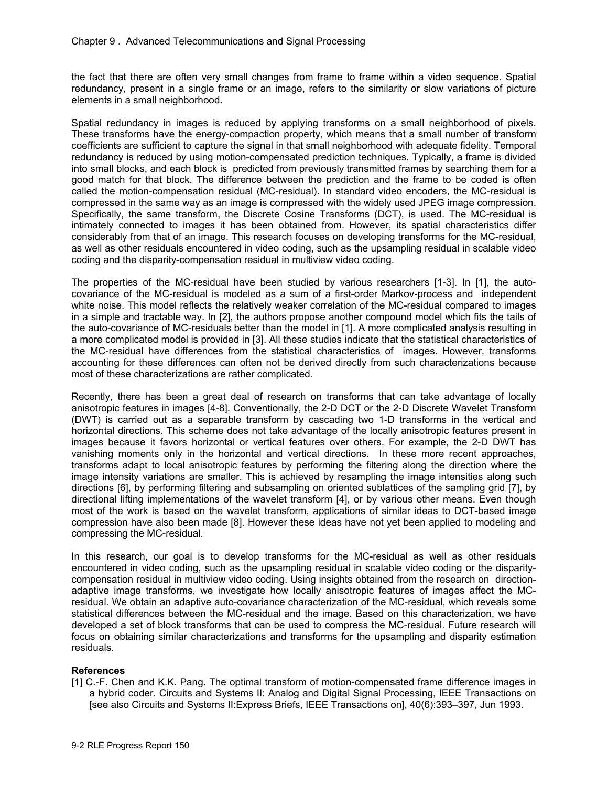the fact that there are often very small changes from frame to frame within a video sequence. Spatial redundancy, present in a single frame or an image, refers to the similarity or slow variations of picture elements in a small neighborhood.

Spatial redundancy in images is reduced by applying transforms on a small neighborhood of pixels. These transforms have the energy-compaction property, which means that a small number of transform coefficients are sufficient to capture the signal in that small neighborhood with adequate fidelity. Temporal redundancy is reduced by using motion-compensated prediction techniques. Typically, a frame is divided into small blocks, and each block is predicted from previously transmitted frames by searching them for a good match for that block. The difference between the prediction and the frame to be coded is often called the motion-compensation residual (MC-residual). In standard video encoders, the MC-residual is compressed in the same way as an image is compressed with the widely used JPEG image compression. Specifically, the same transform, the Discrete Cosine Transforms (DCT), is used. The MC-residual is intimately connected to images it has been obtained from. However, its spatial characteristics differ considerably from that of an image. This research focuses on developing transforms for the MC-residual, as well as other residuals encountered in video coding, such as the upsampling residual in scalable video coding and the disparity-compensation residual in multiview video coding.

The properties of the MC-residual have been studied by various researchers [1-3]. In [1], the autocovariance of the MC-residual is modeled as a sum of a first-order Markov-process and independent white noise. This model reflects the relatively weaker correlation of the MC-residual compared to images in a simple and tractable way. In [2], the authors propose another compound model which fits the tails of the auto-covariance of MC-residuals better than the model in [1]. A more complicated analysis resulting in a more complicated model is provided in [3]. All these studies indicate that the statistical characteristics of the MC-residual have differences from the statistical characteristics of images. However, transforms accounting for these differences can often not be derived directly from such characterizations because most of these characterizations are rather complicated.

Recently, there has been a great deal of research on transforms that can take advantage of locally anisotropic features in images [4-8]. Conventionally, the 2-D DCT or the 2-D Discrete Wavelet Transform (DWT) is carried out as a separable transform by cascading two 1-D transforms in the vertical and horizontal directions. This scheme does not take advantage of the locally anisotropic features present in images because it favors horizontal or vertical features over others. For example, the 2-D DWT has vanishing moments only in the horizontal and vertical directions. In these more recent approaches, transforms adapt to local anisotropic features by performing the filtering along the direction where the image intensity variations are smaller. This is achieved by resampling the image intensities along such directions [6], by performing filtering and subsampling on oriented sublattices of the sampling grid [7], by directional lifting implementations of the wavelet transform [4], or by various other means. Even though most of the work is based on the wavelet transform, applications of similar ideas to DCT-based image compression have also been made [8]. However these ideas have not yet been applied to modeling and compressing the MC-residual.

In this research, our goal is to develop transforms for the MC-residual as well as other residuals encountered in video coding, such as the upsampling residual in scalable video coding or the disparitycompensation residual in multiview video coding. Using insights obtained from the research on directionadaptive image transforms, we investigate how locally anisotropic features of images affect the MCresidual. We obtain an adaptive auto-covariance characterization of the MC-residual, which reveals some statistical differences between the MC-residual and the image. Based on this characterization, we have developed a set of block transforms that can be used to compress the MC-residual. Future research will focus on obtaining similar characterizations and transforms for the upsampling and disparity estimation residuals.

# **References**

[1] C.-F. Chen and K.K. Pang. The optimal transform of motion-compensated frame difference images in a hybrid coder. Circuits and Systems II: Analog and Digital Signal Processing, IEEE Transactions on [see also Circuits and Systems II:Express Briefs, IEEE Transactions on], 40(6):393–397, Jun 1993.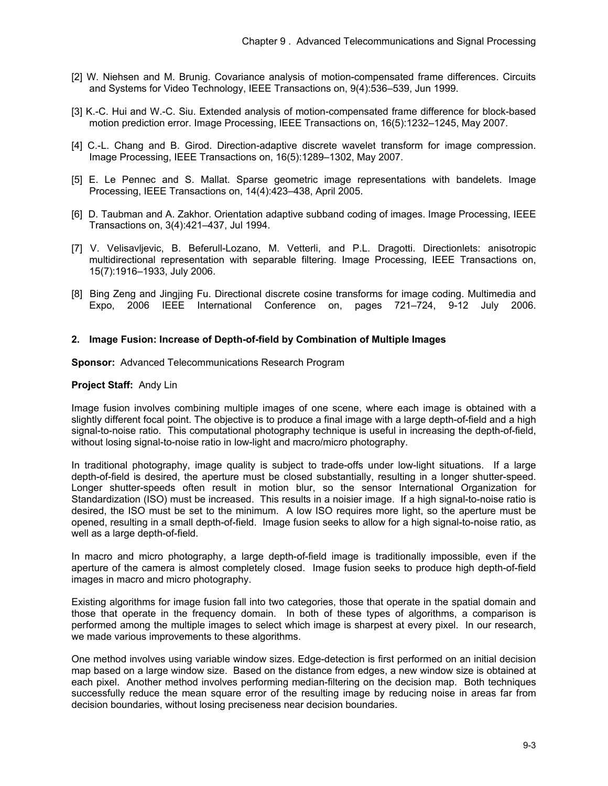- [2] W. Niehsen and M. Brunig. Covariance analysis of motion-compensated frame differences. Circuits and Systems for Video Technology, IEEE Transactions on, 9(4):536–539, Jun 1999.
- [3] K.-C. Hui and W.-C. Siu. Extended analysis of motion-compensated frame difference for block-based motion prediction error. Image Processing, IEEE Transactions on, 16(5):1232–1245, May 2007.
- [4] C.-L. Chang and B. Girod. Direction-adaptive discrete wavelet transform for image compression. Image Processing, IEEE Transactions on, 16(5):1289–1302, May 2007.
- [5] E. Le Pennec and S. Mallat. Sparse geometric image representations with bandelets. Image Processing, IEEE Transactions on, 14(4):423–438, April 2005.
- [6] D. Taubman and A. Zakhor. Orientation adaptive subband coding of images. Image Processing, IEEE Transactions on, 3(4):421–437, Jul 1994.
- [7] V. Velisavljevic, B. Beferull-Lozano, M. Vetterli, and P.L. Dragotti. Directionlets: anisotropic multidirectional representation with separable filtering. Image Processing, IEEE Transactions on, 15(7):1916–1933, July 2006.
- [8] Bing Zeng and Jingjing Fu. Directional discrete cosine transforms for image coding. Multimedia and Expo, 2006 IEEE International Conference on, pages 721–724, 9-12 July 2006.

## **2. Image Fusion: Increase of Depth-of-field by Combination of Multiple Images**

**Sponsor:** Advanced Telecommunications Research Program

#### **Project Staff:** Andy Lin

Image fusion involves combining multiple images of one scene, where each image is obtained with a slightly different focal point. The objective is to produce a final image with a large depth-of-field and a high signal-to-noise ratio. This computational photography technique is useful in increasing the depth-of-field, without losing signal-to-noise ratio in low-light and macro/micro photography.

In traditional photography, image quality is subject to trade-offs under low-light situations. If a large depth-of-field is desired, the aperture must be closed substantially, resulting in a longer shutter-speed. Longer shutter-speeds often result in motion blur, so the sensor International Organization for Standardization (ISO) must be increased. This results in a noisier image. If a high signal-to-noise ratio is desired, the ISO must be set to the minimum. A low ISO requires more light, so the aperture must be opened, resulting in a small depth-of-field. Image fusion seeks to allow for a high signal-to-noise ratio, as well as a large depth-of-field.

In macro and micro photography, a large depth-of-field image is traditionally impossible, even if the aperture of the camera is almost completely closed. Image fusion seeks to produce high depth-of-field images in macro and micro photography.

Existing algorithms for image fusion fall into two categories, those that operate in the spatial domain and those that operate in the frequency domain. In both of these types of algorithms, a comparison is performed among the multiple images to select which image is sharpest at every pixel. In our research, we made various improvements to these algorithms.

One method involves using variable window sizes. Edge-detection is first performed on an initial decision map based on a large window size. Based on the distance from edges, a new window size is obtained at each pixel. Another method involves performing median-filtering on the decision map. Both techniques successfully reduce the mean square error of the resulting image by reducing noise in areas far from decision boundaries, without losing preciseness near decision boundaries.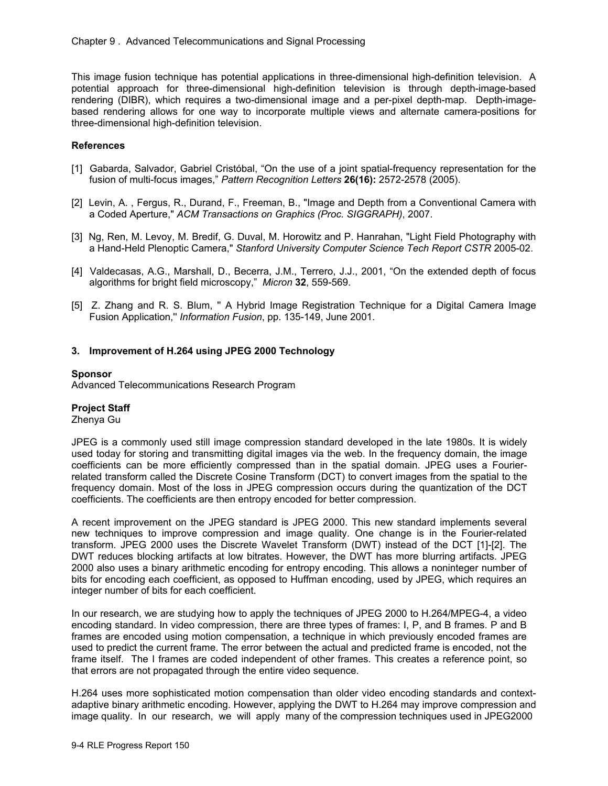This image fusion technique has potential applications in three-dimensional high-definition television. A potential approach for three-dimensional high-definition television is through depth-image-based rendering (DIBR), which requires a two-dimensional image and a per-pixel depth-map. Depth-imagebased rendering allows for one way to incorporate multiple views and alternate camera-positions for three-dimensional high-definition television.

## **References**

- [1] Gabarda, Salvador, Gabriel Cristóbal, "On the use of a joint spatial-frequency representation for the fusion of multi-focus images," *Pattern Recognition Letters* **26(16):** 2572-2578 (2005).
- [2] Levin, A. , Fergus, R., Durand, F., Freeman, B., "Image and Depth from a Conventional Camera with a Coded Aperture," *ACM Transactions on Graphics (Proc. SIGGRAPH)*, 2007.
- [3] Ng, Ren, M. Levoy, M. Bredif, G. Duval, M. Horowitz and P. Hanrahan, "Light Field Photography with a Hand-Held Plenoptic Camera," *Stanford University Computer Science Tech Report CSTR* 2005-02.
- [4] Valdecasas, A.G., Marshall, D., Becerra, J.M., Terrero, J.J., 2001, "On the extended depth of focus algorithms for bright field microscopy," *Micron* **32**, 559-569.
- [5] Z. Zhang and R. S. Blum, '' A Hybrid Image Registration Technique for a Digital Camera Image Fusion Application,'' *Information Fusion*, pp. 135-149, June 2001.

## **3. Improvement of H.264 using JPEG 2000 Technology**

## **Sponsor**

Advanced Telecommunications Research Program

## **Project Staff**

Zhenya Gu

JPEG is a commonly used still image compression standard developed in the late 1980s. It is widely used today for storing and transmitting digital images via the web. In the frequency domain, the image coefficients can be more efficiently compressed than in the spatial domain. JPEG uses a Fourierrelated transform called the Discrete Cosine Transform (DCT) to convert images from the spatial to the frequency domain. Most of the loss in JPEG compression occurs during the quantization of the DCT coefficients. The coefficients are then entropy encoded for better compression.

A recent improvement on the JPEG standard is JPEG 2000. This new standard implements several new techniques to improve compression and image quality. One change is in the Fourier-related transform. JPEG 2000 uses the Discrete Wavelet Transform (DWT) instead of the DCT [1]-[2]. The DWT reduces blocking artifacts at low bitrates. However, the DWT has more blurring artifacts. JPEG 2000 also uses a binary arithmetic encoding for entropy encoding. This allows a noninteger number of bits for encoding each coefficient, as opposed to Huffman encoding, used by JPEG, which requires an integer number of bits for each coefficient.

In our research, we are studying how to apply the techniques of JPEG 2000 to H.264/MPEG-4, a video encoding standard. In video compression, there are three types of frames: I, P, and B frames. P and B frames are encoded using motion compensation, a technique in which previously encoded frames are used to predict the current frame. The error between the actual and predicted frame is encoded, not the frame itself. The I frames are coded independent of other frames. This creates a reference point, so that errors are not propagated through the entire video sequence.

H.264 uses more sophisticated motion compensation than older video encoding standards and contextadaptive binary arithmetic encoding. However, applying the DWT to H.264 may improve compression and image quality. In our research, we will apply many of the compression techniques used in JPEG2000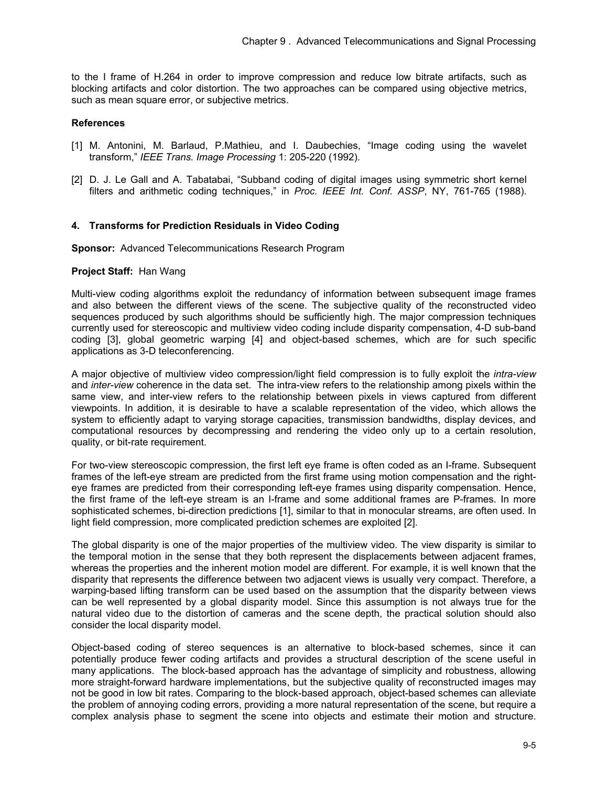to the I frame of H.264 in order to improve compression and reduce low bitrate artifacts, such as blocking artifacts and color distortion. The two approaches can be compared using objective metrics, such as mean square error, or subjective metrics.

## **References**

- [1] M. Antonini, M. Barlaud, P.Mathieu, and I. Daubechies, "Image coding using the wavelet transform," *IEEE Trans. Image Processing* 1: 205-220 (1992).
- [2] D. J. Le Gall and A. Tabatabai, "Subband coding of digital images using symmetric short kernel filters and arithmetic coding techniques," in *Proc. IEEE Int. Conf. ASSP*, NY, 761-765 (1988).

## **4. Transforms for Prediction Residuals in Video Coding**

**Sponsor:** Advanced Telecommunications Research Program

#### **Project Staff:** Han Wang

Multi-view coding algorithms exploit the redundancy of information between subsequent image frames and also between the different views of the scene. The subjective quality of the reconstructed video sequences produced by such algorithms should be sufficiently high. The major compression techniques currently used for stereoscopic and multiview video coding include disparity compensation, 4-D sub-band coding [3], global geometric warping [4] and object-based schemes, which are for such specific applications as 3-D teleconferencing.

A major objective of multiview video compression/light field compression is to fully exploit the *intra-view*  and *inter-view* coherence in the data set. The intra-view refers to the relationship among pixels within the same view, and inter-view refers to the relationship between pixels in views captured from different viewpoints. In addition, it is desirable to have a scalable representation of the video, which allows the system to efficiently adapt to varying storage capacities, transmission bandwidths, display devices, and computational resources by decompressing and rendering the video only up to a certain resolution, quality, or bit-rate requirement.

For two-view stereoscopic compression, the first left eye frame is often coded as an I-frame. Subsequent frames of the left-eye stream are predicted from the first frame using motion compensation and the righteye frames are predicted from their corresponding left-eye frames using disparity compensation. Hence, the first frame of the left-eye stream is an I-frame and some additional frames are P-frames. In more sophisticated schemes, bi-direction predictions [1], similar to that in monocular streams, are often used. In light field compression, more complicated prediction schemes are exploited [2].

The global disparity is one of the major properties of the multiview video. The view disparity is similar to the temporal motion in the sense that they both represent the displacements between adjacent frames, whereas the properties and the inherent motion model are different. For example, it is well known that the disparity that represents the difference between two adjacent views is usually very compact. Therefore, a warping-based lifting transform can be used based on the assumption that the disparity between views can be well represented by a global disparity model. Since this assumption is not always true for the natural video due to the distortion of cameras and the scene depth, the practical solution should also consider the local disparity model.

Object-based coding of stereo sequences is an alternative to block-based schemes, since it can potentially produce fewer coding artifacts and provides a structural description of the scene useful in many applications. The block-based approach has the advantage of simplicity and robustness, allowing more straight-forward hardware implementations, but the subjective quality of reconstructed images may not be good in low bit rates. Comparing to the block-based approach, object-based schemes can alleviate the problem of annoying coding errors, providing a more natural representation of the scene, but require a complex analysis phase to segment the scene into objects and estimate their motion and structure.